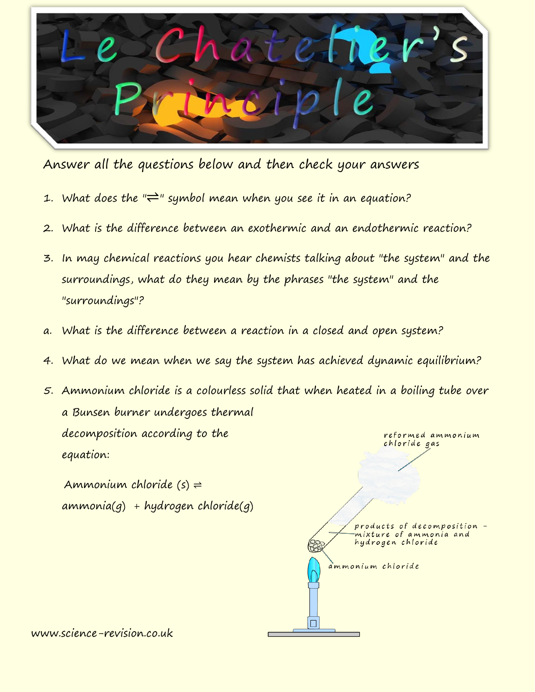

Answer all the questions below and then check your answers

- 1. What does the " $\rightleftharpoons$ " symbol mean when you see it in an equation?
- 2. What is the difference between an exothermic and an endothermic reaction?
- 3. In may chemical reactions you hear chemists talking about "the system" and the surroundings, what do they mean by the phrases "the system" and the "surroundings"?
- a. What is the difference between a reaction in a closed and open system?
- 4. What do we mean when we say the system has achieved dynamic equilibrium?
- 5. Ammonium chloride is a colourless solid that when heated in a boiling tube over a Bunsen burner undergoes thermal decomposition according to the reformed ammonium chloride gas equation:

Ammonium chloride  $(s) \rightleftharpoons$  $ammonia(g) + hydrogen chloride(g)$ 

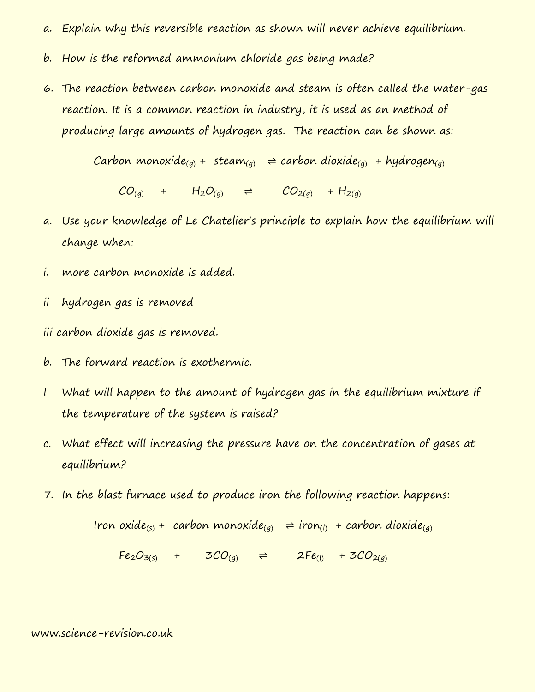- a. Explain why this reversible reaction as shown will never achieve equilibrium.
- b. How is the reformed ammonium chloride gas being made?
- 6. The reaction between carbon monoxide and steam is often called the water-gas reaction. It is a common reaction in industry, it is used as an method of producing large amounts of hydrogen gas. The reaction can be shown as:

Carbon monoxide<sub>(g)</sub> + steam<sub>(g)</sub>  $\Rightarrow$  carbon dioxide<sub>(g)</sub> + hydrogen<sub>(g)</sub>

 $CO_{(q)}$  +  $H_2O_{(q)}$   $\Rightarrow$   $CO_{2(q)}$  +  $H_{2(q)}$ 

- a. Use your knowledge of Le Chatelier's principle to explain how the equilibrium will change when:
- i. more carbon monoxide is added.
- ii hydrogen gas is removed
- iii carbon dioxide gas is removed.
- b. The forward reaction is exothermic.
- I What will happen to the amount of hydrogen gas in the equilibrium mixture if the temperature of the system is raised?
- c. What effect will increasing the pressure have on the concentration of gases at equilibrium?
- 7. In the blast furnace used to produce iron the following reaction happens:

Iron oxide(s) + carbon monoxide(g)  $\Rightarrow$  iron(l) + carbon dioxide(g)

 $Fe_{2}O_{3(5)}$  +  $3CO_{(q)}$   $\Rightarrow$   $2Fe_{(1)}$  +  $3CO_{2(q)}$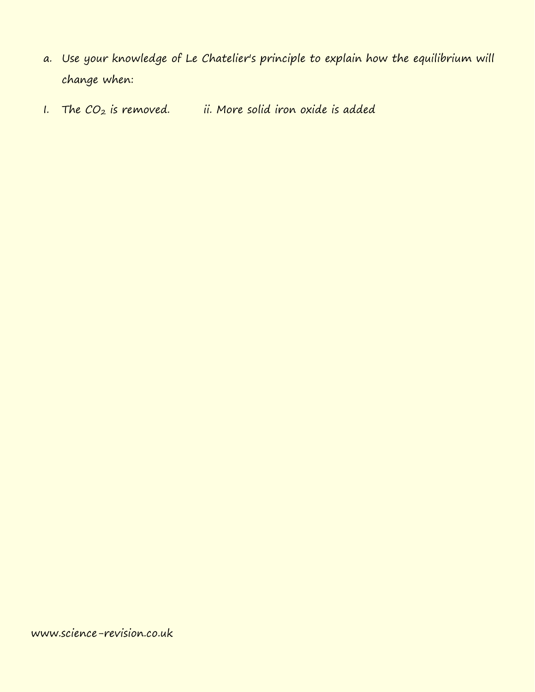- a. Use your knowledge of Le Chatelier's principle to explain how the equilibrium will change when:
- I. The  $CO_2$  is removed. ii. More solid iron oxide is added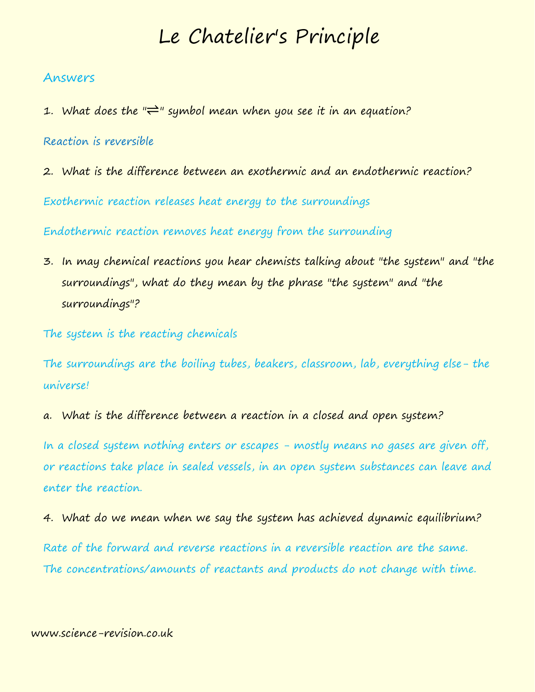# Le Chatelier's Principle

## Answers

1. What does the " $\rightleftharpoons$ " symbol mean when you see it in an equation?

# Reaction is reversible

2. What is the difference between an exothermic and an endothermic reaction?

Exothermic reaction releases heat energy to the surroundings

Endothermic reaction removes heat energy from the surrounding

3. In may chemical reactions you hear chemists talking about "the system" and "the surroundings", what do they mean by the phrase "the system" and "the surroundings"?

The system is the reacting chemicals

The surroundings are the boiling tubes, beakers, classroom, lab, everything else- the universe!

a. What is the difference between a reaction in a closed and open system?

In a closed system nothing enters or escapes - mostly means no gases are given off, or reactions take place in sealed vessels, in an open system substances can leave and enter the reaction.

4. What do we mean when we say the system has achieved dynamic equilibrium?

Rate of the forward and reverse reactions in a reversible reaction are the same. The concentrations/amounts of reactants and products do not change with time.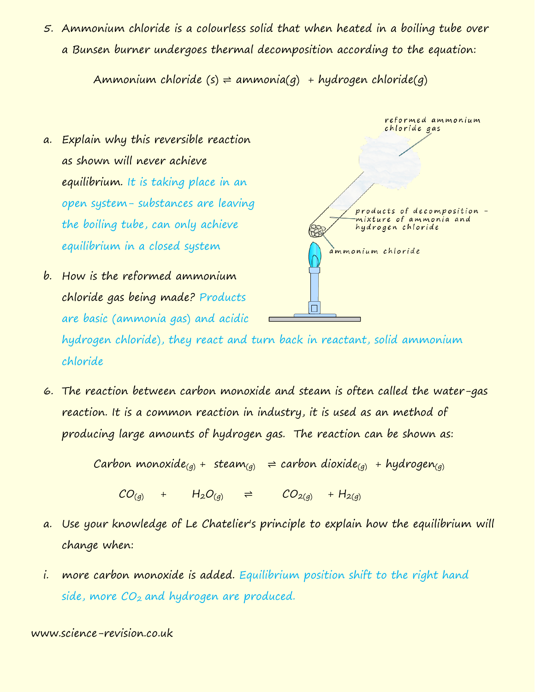5. Ammonium chloride is a colourless solid that when heated in a boiling tube over a Bunsen burner undergoes thermal decomposition according to the equation:

Ammonium chloride  $(s) \rightleftharpoons ammonia(q) + hydrogen chloride(q)$ 

- a. Explain why this reversible reaction as shown will never achieve equilibrium. It is taking place in an open system- substances are leaving the boiling tube, can only achieve equilibrium in a closed system
- b. How is the reformed ammonium chloride gas being made? Products are basic (ammonia gas) and acidic

reformed ammonium chloride gas products of decomposition mixture of ammonia and hydrogen chloride ammonium chloride

hydrogen chloride), they react and turn back in reactant, solid ammonium chloride

6. The reaction between carbon monoxide and steam is often called the water-gas reaction. It is a common reaction in industry, it is used as an method of producing large amounts of hydrogen gas. The reaction can be shown as:

Carbon monoxide<sub>(g)</sub> + steam<sub>(g)</sub>  $\Rightarrow$  carbon dioxide<sub>(g)</sub> + hydrogen<sub>(g)</sub>

 $CO_{(q)}$  +  $H_2O_{(q)}$   $\Rightarrow$   $CO_{2(q)}$  +  $H_{2(q)}$ 

- a. Use your knowledge of Le Chatelier's principle to explain how the equilibrium will change when:
- i. more carbon monoxide is added. Equilibrium position shift to the right hand side, more  $CO<sub>2</sub>$  and hydrogen are produced.